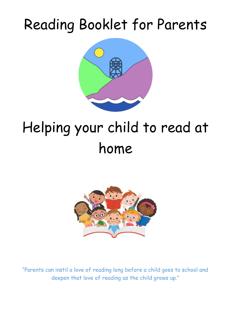## Reading Booklet for Parents



# Helping your child to read at home



"Parents can instil a love of reading long before a child goes to school and deepen that love of reading as the child grows up."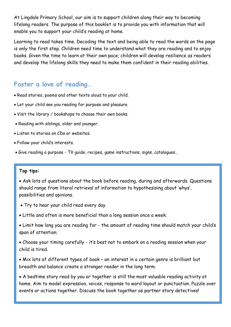At Lingdale Primary School, our aim is to support children along their way to becoming lifelong readers. The purpose of this booklet is to provide you with information that will enable you to support your child's reading at home.

Learning to read takes time. Decoding the text and being able to read the words on the page is only the first step. Children need time to understand what they are reading and to enjoy books. Given the time to learn at their own pace, children will develop resilience as readers and develop the lifelong skills they need to make them confident in their reading abilities.

## **Foster a love of reading…**

- Read stories, poems and other texts aloud to your child.
- Let your child see you reading for purpose and pleasure.
- Visit the library / bookshops to choose their own books.
- Reading with siblings, older and younger.
- Listen to stories on CDs or websites.
- Follow your child's interests.
- Give reading a purpose TV guide, recipes, game instructions, signs, catalogues…

#### **Top tips:**

 Ask lots of questions about the book before reading, during and afterwards. Questions should range from literal retrieval of information to hypothesising about 'whys', possibilities and opinions.

- Try to hear your child read every day.
- Little and often is more beneficial than a long session once a week.
- Limit how long you are reading for the amount of reading time should match your child's span of attention.
- Choose your timing carefully it's best not to embark on a reading session when your child is tired.
- Mix lots of different types of book an interest in a certain genre is brilliant but breadth and balance create a stronger reader in the long term.

 A bedtime story read by you or together is still the most valuable reading activity at home. Aim to model expression, voices, response to word layout or punctuation. Puzzle over events or actions together. Discuss the book together as partner story detectives!